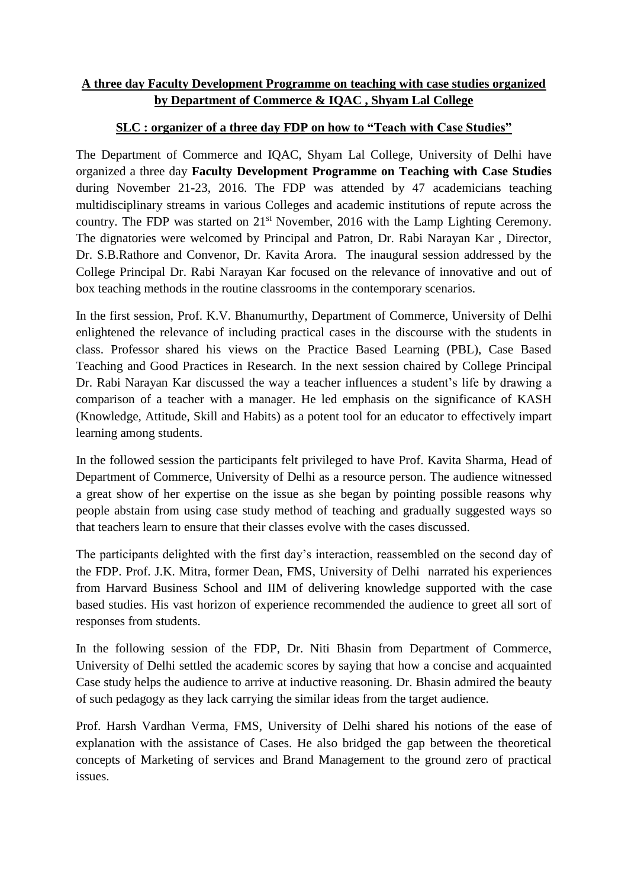## **A three day Faculty Development Programme on teaching with case studies organized by Department of Commerce & IQAC , Shyam Lal College**

## **SLC : organizer of a three day FDP on how to "Teach with Case Studies"**

The Department of Commerce and IQAC, Shyam Lal College, University of Delhi have organized a three day **Faculty Development Programme on Teaching with Case Studies** during November 21-23, 2016. The FDP was attended by 47 academicians teaching multidisciplinary streams in various Colleges and academic institutions of repute across the country. The FDP was started on 21<sup>st</sup> November, 2016 with the Lamp Lighting Ceremony. The dignatories were welcomed by Principal and Patron, Dr. Rabi Narayan Kar , Director, Dr. S.B.Rathore and Convenor, Dr. Kavita Arora. The inaugural session addressed by the College Principal Dr. Rabi Narayan Kar focused on the relevance of innovative and out of box teaching methods in the routine classrooms in the contemporary scenarios.

In the first session, Prof. K.V. Bhanumurthy, Department of Commerce, University of Delhi enlightened the relevance of including practical cases in the discourse with the students in class. Professor shared his views on the Practice Based Learning (PBL), Case Based Teaching and Good Practices in Research. In the next session chaired by College Principal Dr. Rabi Narayan Kar discussed the way a teacher influences a student's life by drawing a comparison of a teacher with a manager. He led emphasis on the significance of KASH (Knowledge, Attitude, Skill and Habits) as a potent tool for an educator to effectively impart learning among students.

In the followed session the participants felt privileged to have Prof. Kavita Sharma, Head of Department of Commerce, University of Delhi as a resource person. The audience witnessed a great show of her expertise on the issue as she began by pointing possible reasons why people abstain from using case study method of teaching and gradually suggested ways so that teachers learn to ensure that their classes evolve with the cases discussed.

The participants delighted with the first day's interaction, reassembled on the second day of the FDP. Prof. J.K. Mitra, former Dean, FMS, University of Delhi narrated his experiences from Harvard Business School and IIM of delivering knowledge supported with the case based studies. His vast horizon of experience recommended the audience to greet all sort of responses from students.

In the following session of the FDP, Dr. Niti Bhasin from Department of Commerce, University of Delhi settled the academic scores by saying that how a concise and acquainted Case study helps the audience to arrive at inductive reasoning. Dr. Bhasin admired the beauty of such pedagogy as they lack carrying the similar ideas from the target audience.

Prof. Harsh Vardhan Verma, FMS, University of Delhi shared his notions of the ease of explanation with the assistance of Cases. He also bridged the gap between the theoretical concepts of Marketing of services and Brand Management to the ground zero of practical issues.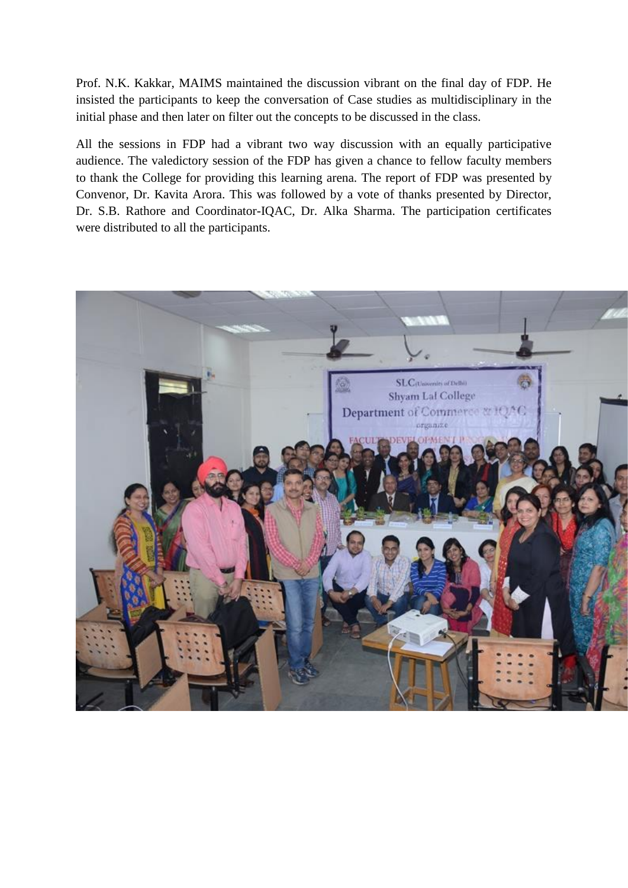Prof. N.K. Kakkar, MAIMS maintained the discussion vibrant on the final day of FDP. He insisted the participants to keep the conversation of Case studies as multidisciplinary in the initial phase and then later on filter out the concepts to be discussed in the class.

All the sessions in FDP had a vibrant two way discussion with an equally participative audience. The valedictory session of the FDP has given a chance to fellow faculty members to thank the College for providing this learning arena. The report of FDP was presented by Convenor, Dr. Kavita Arora. This was followed by a vote of thanks presented by Director, Dr. S.B. Rathore and Coordinator-IQAC, Dr. Alka Sharma. The participation certificates were distributed to all the participants.